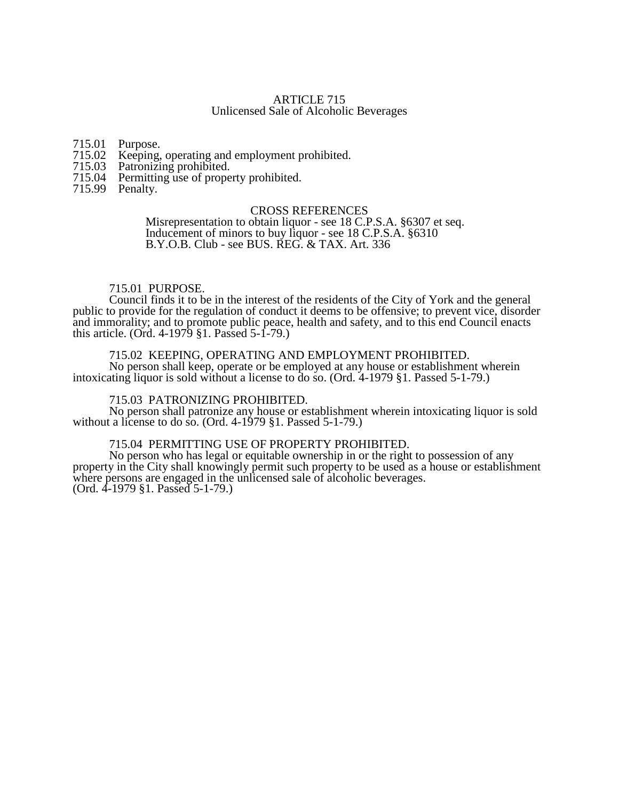# ARTICLE 715 Unlicensed Sale of Alcoholic Beverages

715.01 Purpose.<br>715.02 Keeping,

- 715.02 Keeping, operating and employment prohibited.<br>715.03 Patronizing prohibited.
- 
- 715.03 Patronizing prohibited. Permitting use of property prohibited.
- 715.99 Penalty.

### CROSS REFERENCES

Misrepresentation to obtain liquor - see 18 C.P.S.A. §6307 et seq. Inducement of minors to buy liquor - see 18 C.P.S.A. §6310 B.Y.O.B. Club - see BUS. REG. & TAX. Art. 336

#### 715.01 PURPOSE.

Council finds it to be in the interest of the residents of the City of York and the general public to provide for the regulation of conduct it deems to be offensive; to prevent vice, disorder and immorality; and to promote public peace, health and safety, and to this end Council enacts this article. (Ord. 4-1979 §1. Passed 5-1-79.)

## 715.02 KEEPING, OPERATING AND EMPLOYMENT PROHIBITED.

No person shall keep, operate or be employed at any house or establishment wherein intoxicating liquor is sold without a license to do so. (Ord. 4-1979 §1. Passed 5-1-79.)

#### 715.03 PATRONIZING PROHIBITED.

No person shall patronize any house or establishment wherein intoxicating liquor is sold without a license to do so. (Ord. 4-1979 §1. Passed 5-1-79.)

# 715.04 PERMITTING USE OF PROPERTY PROHIBITED.

No person who has legal or equitable ownership in or the right to possession of any property in the City shall knowingly permit such property to be used as a house or establishment where persons are engaged in the unlicensed sale of alcoholic beverages. (Ord. 4-1979 §1. Passed 5-1-79.)